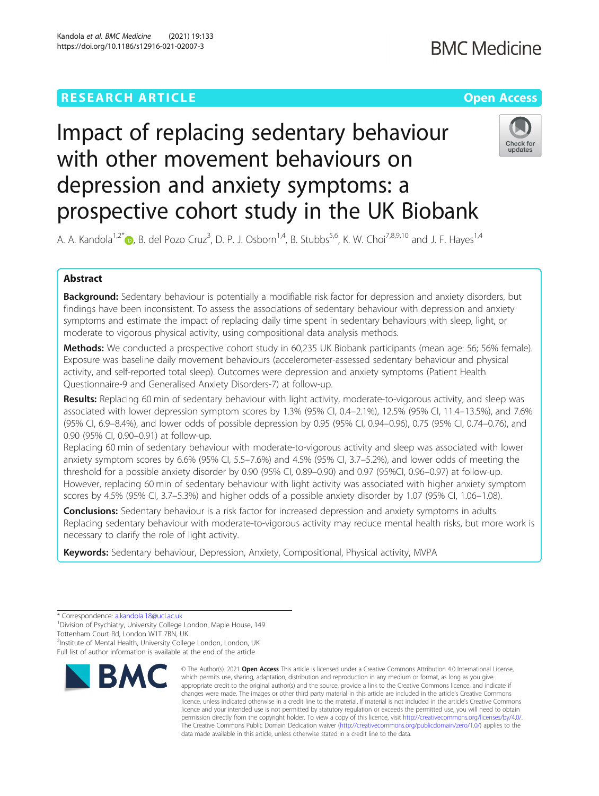# Impact of replacing sedentary behaviour with other movement behaviours on depression and anxiety symptoms: a prospective cohort study in the UK Biobank

A. A. Kandola<sup>1[,](http://orcid.org/0000-0002-2334-9235)2\*</sup> (@, B. del Pozo Cruz<sup>3</sup>, D. P. J. Osborn<sup>1,4</sup>, B. Stubbs<sup>5,6</sup>, K. W. Choi<sup>7,8,9,10</sup> and J. F. Hayes<sup>1,4</sup>

# Abstract

Background: Sedentary behaviour is potentially a modifiable risk factor for depression and anxiety disorders, but findings have been inconsistent. To assess the associations of sedentary behaviour with depression and anxiety symptoms and estimate the impact of replacing daily time spent in sedentary behaviours with sleep, light, or moderate to vigorous physical activity, using compositional data analysis methods.

Methods: We conducted a prospective cohort study in 60,235 UK Biobank participants (mean age: 56; 56% female). Exposure was baseline daily movement behaviours (accelerometer-assessed sedentary behaviour and physical activity, and self-reported total sleep). Outcomes were depression and anxiety symptoms (Patient Health Questionnaire-9 and Generalised Anxiety Disorders-7) at follow-up.

Results: Replacing 60 min of sedentary behaviour with light activity, moderate-to-vigorous activity, and sleep was associated with lower depression symptom scores by 1.3% (95% CI, 0.4–2.1%), 12.5% (95% CI, 11.4–13.5%), and 7.6% (95% CI, 6.9–8.4%), and lower odds of possible depression by 0.95 (95% CI, 0.94–0.96), 0.75 (95% CI, 0.74–0.76), and 0.90 (95% CI, 0.90–0.91) at follow-up.

Replacing 60 min of sedentary behaviour with moderate-to-vigorous activity and sleep was associated with lower anxiety symptom scores by 6.6% (95% CI, 5.5–7.6%) and 4.5% (95% CI, 3.7–5.2%), and lower odds of meeting the threshold for a possible anxiety disorder by 0.90 (95% CI, 0.89–0.90) and 0.97 (95%CI, 0.96–0.97) at follow-up. However, replacing 60 min of sedentary behaviour with light activity was associated with higher anxiety symptom scores by 4.5% (95% CI, 3.7–5.3%) and higher odds of a possible anxiety disorder by 1.07 (95% CI, 1.06–1.08).

**Conclusions:** Sedentary behaviour is a risk factor for increased depression and anxiety symptoms in adults. Replacing sedentary behaviour with moderate-to-vigorous activity may reduce mental health risks, but more work is necessary to clarify the role of light activity.

Keywords: Sedentary behaviour, Depression, Anxiety, Compositional, Physical activity, MVPA

<sup>2</sup>Institute of Mental Health, University College London, London, UK

Full list of author information is available at the end of the article



<sup>©</sup> The Author(s), 2021 **Open Access** This article is licensed under a Creative Commons Attribution 4.0 International License, which permits use, sharing, adaptation, distribution and reproduction in any medium or format, as long as you give appropriate credit to the original author(s) and the source, provide a link to the Creative Commons licence, and indicate if changes were made. The images or other third party material in this article are included in the article's Creative Commons licence, unless indicated otherwise in a credit line to the material. If material is not included in the article's Creative Commons licence and your intended use is not permitted by statutory regulation or exceeds the permitted use, you will need to obtain permission directly from the copyright holder. To view a copy of this licence, visit [http://creativecommons.org/licenses/by/4.0/.](http://creativecommons.org/licenses/by/4.0/) The Creative Commons Public Domain Dedication waiver [\(http://creativecommons.org/publicdomain/zero/1.0/](http://creativecommons.org/publicdomain/zero/1.0/)) applies to the data made available in this article, unless otherwise stated in a credit line to the data.



<sup>\*</sup> Correspondence: [a.kandola.18@ucl.ac.uk](mailto:a.kandola.18@ucl.ac.uk) <sup>1</sup>

<sup>&</sup>lt;sup>1</sup> Division of Psychiatry, University College London, Maple House, 149 Tottenham Court Rd, London W1T 7BN, UK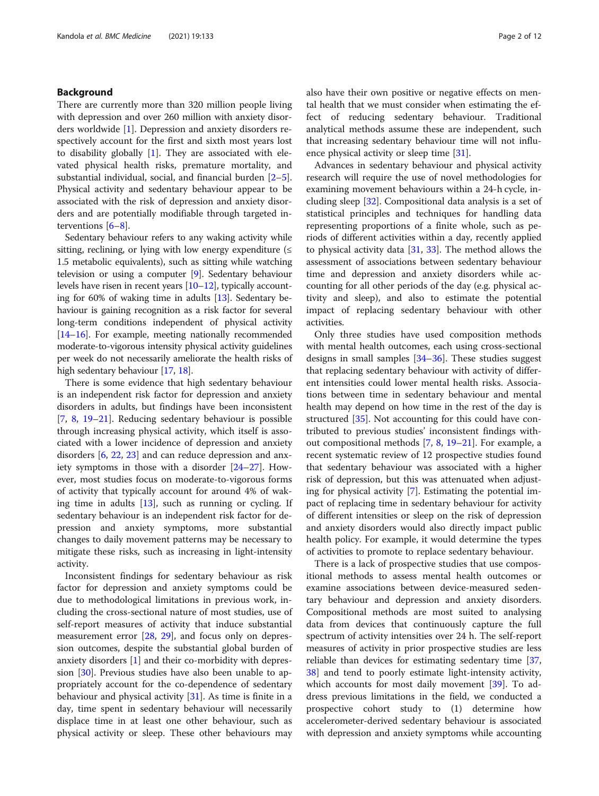# Background

There are currently more than 320 million people living with depression and over 260 million with anxiety disorders worldwide [[1\]](#page-9-0). Depression and anxiety disorders respectively account for the first and sixth most years lost to disability globally [[1\]](#page-9-0). They are associated with elevated physical health risks, premature mortality, and substantial individual, social, and financial burden  $[2-5]$  $[2-5]$  $[2-5]$  $[2-5]$ . Physical activity and sedentary behaviour appear to be associated with the risk of depression and anxiety disorders and are potentially modifiable through targeted interventions [\[6](#page-10-0)–[8](#page-10-0)].

Sedentary behaviour refers to any waking activity while sitting, reclining, or lying with low energy expenditure  $(\leq$ 1.5 metabolic equivalents), such as sitting while watching television or using a computer [[9\]](#page-10-0). Sedentary behaviour levels have risen in recent years [\[10](#page-10-0)–[12](#page-10-0)], typically accounting for 60% of waking time in adults [\[13\]](#page-10-0). Sedentary behaviour is gaining recognition as a risk factor for several long-term conditions independent of physical activity [[14](#page-10-0)–[16\]](#page-10-0). For example, meeting nationally recommended moderate-to-vigorous intensity physical activity guidelines per week do not necessarily ameliorate the health risks of high sedentary behaviour [[17,](#page-10-0) [18\]](#page-10-0).

There is some evidence that high sedentary behaviour is an independent risk factor for depression and anxiety disorders in adults, but findings have been inconsistent [[7,](#page-10-0) [8](#page-10-0), [19](#page-10-0)–[21](#page-10-0)]. Reducing sedentary behaviour is possible through increasing physical activity, which itself is associated with a lower incidence of depression and anxiety disorders [\[6](#page-10-0), [22](#page-10-0), [23](#page-10-0)] and can reduce depression and anxiety symptoms in those with a disorder [\[24](#page-10-0)–[27\]](#page-10-0). However, most studies focus on moderate-to-vigorous forms of activity that typically account for around 4% of waking time in adults  $[13]$ , such as running or cycling. If sedentary behaviour is an independent risk factor for depression and anxiety symptoms, more substantial changes to daily movement patterns may be necessary to mitigate these risks, such as increasing in light-intensity activity.

Inconsistent findings for sedentary behaviour as risk factor for depression and anxiety symptoms could be due to methodological limitations in previous work, including the cross-sectional nature of most studies, use of self-report measures of activity that induce substantial measurement error [[28,](#page-10-0) [29\]](#page-10-0), and focus only on depression outcomes, despite the substantial global burden of anxiety disorders [\[1](#page-9-0)] and their co-morbidity with depression [\[30](#page-10-0)]. Previous studies have also been unable to appropriately account for the co-dependence of sedentary behaviour and physical activity [[31\]](#page-10-0). As time is finite in a day, time spent in sedentary behaviour will necessarily displace time in at least one other behaviour, such as physical activity or sleep. These other behaviours may

also have their own positive or negative effects on mental health that we must consider when estimating the effect of reducing sedentary behaviour. Traditional analytical methods assume these are independent, such that increasing sedentary behaviour time will not influence physical activity or sleep time [\[31](#page-10-0)].

Advances in sedentary behaviour and physical activity research will require the use of novel methodologies for examining movement behaviours within a 24-h cycle, including sleep [\[32](#page-10-0)]. Compositional data analysis is a set of statistical principles and techniques for handling data representing proportions of a finite whole, such as periods of different activities within a day, recently applied to physical activity data  $[31, 33]$  $[31, 33]$  $[31, 33]$  $[31, 33]$ . The method allows the assessment of associations between sedentary behaviour time and depression and anxiety disorders while accounting for all other periods of the day (e.g. physical activity and sleep), and also to estimate the potential impact of replacing sedentary behaviour with other activities.

Only three studies have used composition methods with mental health outcomes, each using cross-sectional designs in small samples [\[34](#page-10-0)–[36\]](#page-10-0). These studies suggest that replacing sedentary behaviour with activity of different intensities could lower mental health risks. Associations between time in sedentary behaviour and mental health may depend on how time in the rest of the day is structured [\[35](#page-10-0)]. Not accounting for this could have contributed to previous studies' inconsistent findings without compositional methods [[7](#page-10-0), [8,](#page-10-0) [19](#page-10-0)–[21](#page-10-0)]. For example, a recent systematic review of 12 prospective studies found that sedentary behaviour was associated with a higher risk of depression, but this was attenuated when adjusting for physical activity [[7\]](#page-10-0). Estimating the potential impact of replacing time in sedentary behaviour for activity of different intensities or sleep on the risk of depression and anxiety disorders would also directly impact public health policy. For example, it would determine the types of activities to promote to replace sedentary behaviour.

There is a lack of prospective studies that use compositional methods to assess mental health outcomes or examine associations between device-measured sedentary behaviour and depression and anxiety disorders. Compositional methods are most suited to analysing data from devices that continuously capture the full spectrum of activity intensities over 24 h. The self-report measures of activity in prior prospective studies are less reliable than devices for estimating sedentary time [[37](#page-10-0), [38\]](#page-10-0) and tend to poorly estimate light-intensity activity, which accounts for most daily movement [[39](#page-11-0)]. To address previous limitations in the field, we conducted a prospective cohort study to (1) determine how accelerometer-derived sedentary behaviour is associated with depression and anxiety symptoms while accounting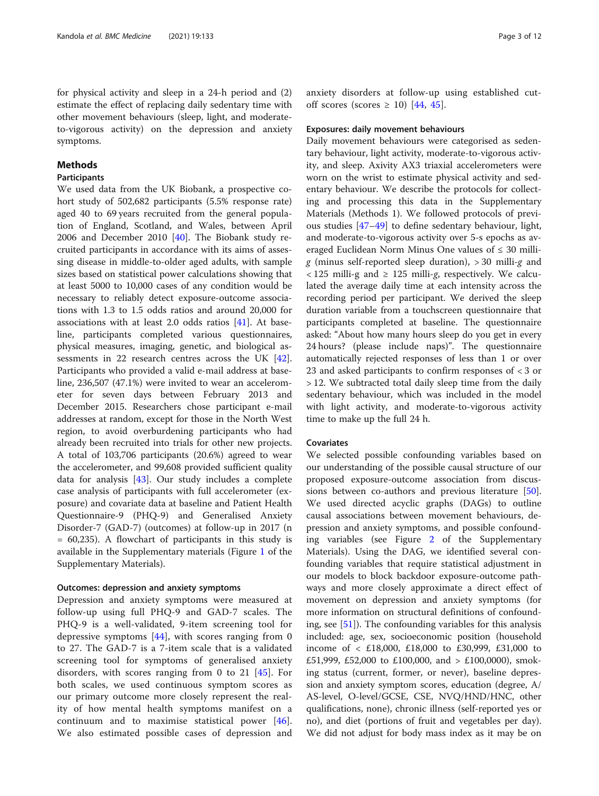for physical activity and sleep in a 24-h period and (2) estimate the effect of replacing daily sedentary time with other movement behaviours (sleep, light, and moderateto-vigorous activity) on the depression and anxiety symptoms.

# Methods

# Participants

We used data from the UK Biobank, a prospective cohort study of 502,682 participants (5.5% response rate) aged 40 to 69 years recruited from the general population of England, Scotland, and Wales, between April 2006 and December 2010 [\[40\]](#page-11-0). The Biobank study recruited participants in accordance with its aims of assessing disease in middle-to-older aged adults, with sample sizes based on statistical power calculations showing that at least 5000 to 10,000 cases of any condition would be necessary to reliably detect exposure-outcome associations with 1.3 to 1.5 odds ratios and around 20,000 for associations with at least 2.0 odds ratios [[41](#page-11-0)]. At baseline, participants completed various questionnaires, physical measures, imaging, genetic, and biological assessments in 22 research centres across the UK [\[42](#page-11-0)]. Participants who provided a valid e-mail address at baseline, 236,507 (47.1%) were invited to wear an accelerometer for seven days between February 2013 and December 2015. Researchers chose participant e-mail addresses at random, except for those in the North West region, to avoid overburdening participants who had already been recruited into trials for other new projects. A total of 103,706 participants (20.6%) agreed to wear the accelerometer, and 99,608 provided sufficient quality data for analysis  $[43]$  $[43]$ . Our study includes a complete case analysis of participants with full accelerometer (exposure) and covariate data at baseline and Patient Health Questionnaire-9 (PHQ-9) and Generalised Anxiety Disorder-7 (GAD-7) (outcomes) at follow-up in 2017 (n = 60,235). A flowchart of participants in this study is available in the Supplementary materials (Figure [1](#page-9-0) of the Supplementary Materials).

#### Outcomes: depression and anxiety symptoms

Depression and anxiety symptoms were measured at follow-up using full PHQ-9 and GAD-7 scales. The PHQ-9 is a well-validated, 9-item screening tool for depressive symptoms  $[44]$  $[44]$ , with scores ranging from 0 to 27. The GAD-7 is a 7-item scale that is a validated screening tool for symptoms of generalised anxiety disorders, with scores ranging from 0 to 21 [\[45](#page-11-0)]. For both scales, we used continuous symptom scores as our primary outcome more closely represent the reality of how mental health symptoms manifest on a continuum and to maximise statistical power [\[46](#page-11-0)]. We also estimated possible cases of depression and anxiety disorders at follow-up using established cutoff scores (scores  $\geq$  10) [\[44](#page-11-0), [45](#page-11-0)].

# Exposures: daily movement behaviours

Daily movement behaviours were categorised as sedentary behaviour, light activity, moderate-to-vigorous activity, and sleep. Axivity AX3 triaxial accelerometers were worn on the wrist to estimate physical activity and sedentary behaviour. We describe the protocols for collecting and processing this data in the Supplementary Materials (Methods 1). We followed protocols of previous studies [\[47](#page-11-0)–[49\]](#page-11-0) to define sedentary behaviour, light, and moderate-to-vigorous activity over 5-s epochs as averaged Euclidean Norm Minus One values of  $\leq 30$  millig (minus self-reported sleep duration),  $>$  30 milli-g and  $<$  125 milli-g and  $\ge$  125 milli-g, respectively. We calculated the average daily time at each intensity across the recording period per participant. We derived the sleep duration variable from a touchscreen questionnaire that participants completed at baseline. The questionnaire asked: "About how many hours sleep do you get in every 24 hours? (please include naps)". The questionnaire automatically rejected responses of less than 1 or over 23 and asked participants to confirm responses of < 3 or > 12. We subtracted total daily sleep time from the daily sedentary behaviour, which was included in the model with light activity, and moderate-to-vigorous activity time to make up the full 24 h.

# Covariates

We selected possible confounding variables based on our understanding of the possible causal structure of our proposed exposure-outcome association from discussions between co-authors and previous literature [\[50](#page-11-0)]. We used directed acyclic graphs (DAGs) to outline causal associations between movement behaviours, depression and anxiety symptoms, and possible confounding variables (see Figure [2](#page-9-0) of the Supplementary Materials). Using the DAG, we identified several confounding variables that require statistical adjustment in our models to block backdoor exposure-outcome pathways and more closely approximate a direct effect of movement on depression and anxiety symptoms (for more information on structural definitions of confounding, see [\[51](#page-11-0)]). The confounding variables for this analysis included: age, sex, socioeconomic position (household income of < £18,000, £18,000 to £30,999, £31,000 to £51,999, £52,000 to £100,000, and > £100,0000), smoking status (current, former, or never), baseline depression and anxiety symptom scores, education (degree, A/ AS-level, O-level/GCSE, CSE, NVQ/HND/HNC, other qualifications, none), chronic illness (self-reported yes or no), and diet (portions of fruit and vegetables per day). We did not adjust for body mass index as it may be on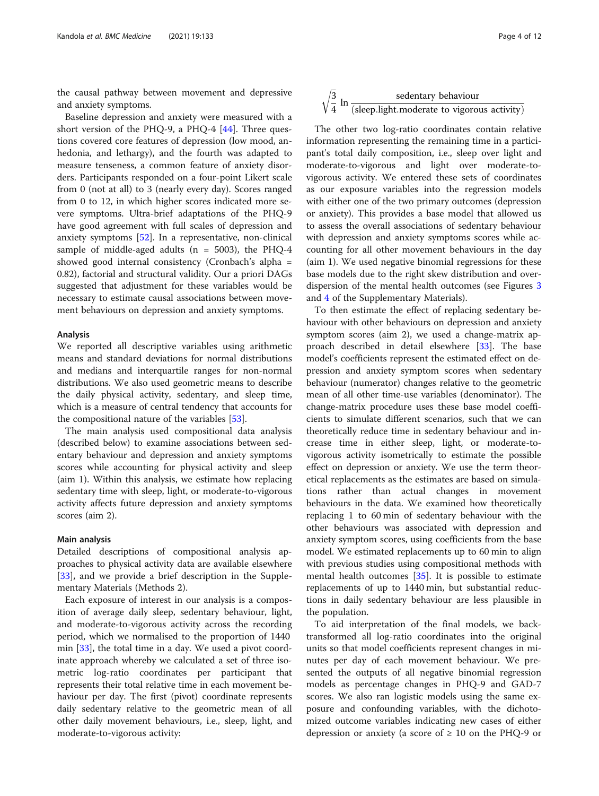the causal pathway between movement and depressive and anxiety symptoms.

Baseline depression and anxiety were measured with a short version of the PHQ-9, a PHQ-4  $[44]$  $[44]$  $[44]$ . Three questions covered core features of depression (low mood, anhedonia, and lethargy), and the fourth was adapted to measure tenseness, a common feature of anxiety disorders. Participants responded on a four-point Likert scale from 0 (not at all) to 3 (nearly every day). Scores ranged from 0 to 12, in which higher scores indicated more severe symptoms. Ultra-brief adaptations of the PHQ-9 have good agreement with full scales of depression and anxiety symptoms  $[52]$  $[52]$ . In a representative, non-clinical sample of middle-aged adults ( $n = 5003$ ), the PHQ-4 showed good internal consistency (Cronbach's alpha = 0.82), factorial and structural validity. Our a priori DAGs suggested that adjustment for these variables would be necessary to estimate causal associations between movement behaviours on depression and anxiety symptoms.

# Analysis

We reported all descriptive variables using arithmetic means and standard deviations for normal distributions and medians and interquartile ranges for non-normal distributions. We also used geometric means to describe the daily physical activity, sedentary, and sleep time, which is a measure of central tendency that accounts for the compositional nature of the variables [[53](#page-11-0)].

The main analysis used compositional data analysis (described below) to examine associations between sedentary behaviour and depression and anxiety symptoms scores while accounting for physical activity and sleep (aim 1). Within this analysis, we estimate how replacing sedentary time with sleep, light, or moderate-to-vigorous activity affects future depression and anxiety symptoms scores (aim 2).

# Main analysis

Detailed descriptions of compositional analysis approaches to physical activity data are available elsewhere [[33\]](#page-10-0), and we provide a brief description in the Supplementary Materials (Methods 2).

Each exposure of interest in our analysis is a composition of average daily sleep, sedentary behaviour, light, and moderate-to-vigorous activity across the recording period, which we normalised to the proportion of 1440 min  $[33]$ , the total time in a day. We used a pivot coordinate approach whereby we calculated a set of three isometric log-ratio coordinates per participant that represents their total relative time in each movement behaviour per day. The first (pivot) coordinate represents daily sedentary relative to the geometric mean of all other daily movement behaviours, i.e., sleep, light, and moderate-to-vigorous activity:

$$
\sqrt{\frac{3}{4}} \ln \frac{\text{sedentary behaviour}}{(\text{sleep.light.moderate to vigorous activity})}
$$

ffiffiffi

The other two log-ratio coordinates contain relative information representing the remaining time in a participant's total daily composition, i.e., sleep over light and moderate-to-vigorous and light over moderate-tovigorous activity. We entered these sets of coordinates as our exposure variables into the regression models with either one of the two primary outcomes (depression or anxiety). This provides a base model that allowed us to assess the overall associations of sedentary behaviour with depression and anxiety symptoms scores while accounting for all other movement behaviours in the day (aim 1). We used negative binomial regressions for these base models due to the right skew distribution and overdispersion of the mental health outcomes (see Figures [3](#page-9-0) and [4](#page-9-0) of the Supplementary Materials).

To then estimate the effect of replacing sedentary behaviour with other behaviours on depression and anxiety symptom scores (aim 2), we used a change-matrix ap-proach described in detail elsewhere [[33\]](#page-10-0). The base model's coefficients represent the estimated effect on depression and anxiety symptom scores when sedentary behaviour (numerator) changes relative to the geometric mean of all other time-use variables (denominator). The change-matrix procedure uses these base model coefficients to simulate different scenarios, such that we can theoretically reduce time in sedentary behaviour and increase time in either sleep, light, or moderate-tovigorous activity isometrically to estimate the possible effect on depression or anxiety. We use the term theoretical replacements as the estimates are based on simulations rather than actual changes in movement behaviours in the data. We examined how theoretically replacing 1 to 60 min of sedentary behaviour with the other behaviours was associated with depression and anxiety symptom scores, using coefficients from the base model. We estimated replacements up to 60 min to align with previous studies using compositional methods with mental health outcomes [[35\]](#page-10-0). It is possible to estimate replacements of up to 1440 min, but substantial reductions in daily sedentary behaviour are less plausible in the population.

To aid interpretation of the final models, we backtransformed all log-ratio coordinates into the original units so that model coefficients represent changes in minutes per day of each movement behaviour. We presented the outputs of all negative binomial regression models as percentage changes in PHQ-9 and GAD-7 scores. We also ran logistic models using the same exposure and confounding variables, with the dichotomized outcome variables indicating new cases of either depression or anxiety (a score of  $\geq 10$  on the PHQ-9 or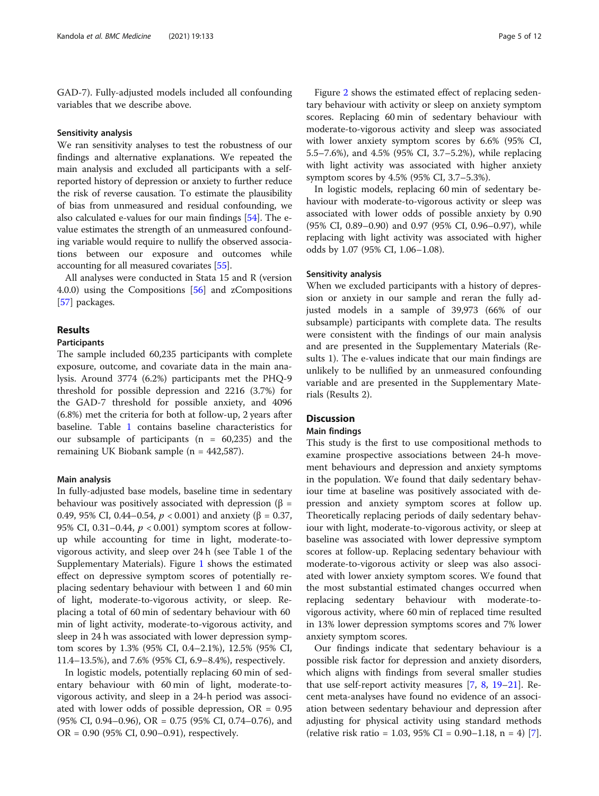GAD-7). Fully-adjusted models included all confounding variables that we describe above.

# Sensitivity analysis

We ran sensitivity analyses to test the robustness of our findings and alternative explanations. We repeated the main analysis and excluded all participants with a selfreported history of depression or anxiety to further reduce the risk of reverse causation. To estimate the plausibility of bias from unmeasured and residual confounding, we also calculated e-values for our main findings [[54](#page-11-0)]. The evalue estimates the strength of an unmeasured confounding variable would require to nullify the observed associations between our exposure and outcomes while accounting for all measured covariates [[55](#page-11-0)].

All analyses were conducted in Stata 15 and R (version 4.0.0) using the Compositions [\[56\]](#page-11-0) and zCompositions [[57\]](#page-11-0) packages.

# Results

# Participants

The sample included 60,235 participants with complete exposure, outcome, and covariate data in the main analysis. Around 3774 (6.2%) participants met the PHQ-9 threshold for possible depression and 2216 (3.7%) for the GAD-7 threshold for possible anxiety, and 4096 (6.8%) met the criteria for both at follow-up, 2 years after baseline. Table [1](#page-5-0) contains baseline characteristics for our subsample of participants  $(n = 60,235)$  and the remaining UK Biobank sample (n = 442,587).

# Main analysis

In fully-adjusted base models, baseline time in sedentary behaviour was positively associated with depression ( $\beta$  = 0.49, 95% CI, 0.44–0.54,  $p < 0.001$ ) and anxiety (β = 0.37, 95% CI, 0.31–0.44,  $p < 0.001$ ) symptom scores at followup while accounting for time in light, moderate-tovigorous activity, and sleep over 24 h (see Table 1 of the Supplementary Materials). Figure [1](#page-6-0) shows the estimated effect on depressive symptom scores of potentially replacing sedentary behaviour with between 1 and 60 min of light, moderate-to-vigorous activity, or sleep. Replacing a total of 60 min of sedentary behaviour with 60 min of light activity, moderate-to-vigorous activity, and sleep in 24 h was associated with lower depression symptom scores by 1.3% (95% CI, 0.4–2.1%), 12.5% (95% CI, 11.4–13.5%), and 7.6% (95% CI, 6.9–8.4%), respectively.

In logistic models, potentially replacing 60 min of sedentary behaviour with 60 min of light, moderate-tovigorous activity, and sleep in a 24-h period was associated with lower odds of possible depression,  $OR = 0.95$  $(95\% \text{ CI}, 0.94-0.96), \text{ OR } = 0.75 \ (95\% \text{ CI}, 0.74-0.76), \text{ and}$ OR = 0.90 (95% CI, 0.90–0.91), respectively.

Figure [2](#page-7-0) shows the estimated effect of replacing sedentary behaviour with activity or sleep on anxiety symptom scores. Replacing 60 min of sedentary behaviour with moderate-to-vigorous activity and sleep was associated with lower anxiety symptom scores by 6.6% (95% CI, 5.5–7.6%), and 4.5% (95% CI, 3.7–5.2%), while replacing with light activity was associated with higher anxiety symptom scores by 4.5% (95% CI, 3.7–5.3%).

In logistic models, replacing 60 min of sedentary behaviour with moderate-to-vigorous activity or sleep was associated with lower odds of possible anxiety by 0.90 (95% CI, 0.89–0.90) and 0.97 (95% CI, 0.96–0.97), while replacing with light activity was associated with higher odds by 1.07 (95% CI, 1.06–1.08).

# Sensitivity analysis

When we excluded participants with a history of depression or anxiety in our sample and reran the fully adjusted models in a sample of 39,973 (66% of our subsample) participants with complete data. The results were consistent with the findings of our main analysis and are presented in the Supplementary Materials (Results 1). The e-values indicate that our main findings are unlikely to be nullified by an unmeasured confounding variable and are presented in the Supplementary Materials (Results 2).

# **Discussion**

# Main findings

This study is the first to use compositional methods to examine prospective associations between 24-h movement behaviours and depression and anxiety symptoms in the population. We found that daily sedentary behaviour time at baseline was positively associated with depression and anxiety symptom scores at follow up. Theoretically replacing periods of daily sedentary behaviour with light, moderate-to-vigorous activity, or sleep at baseline was associated with lower depressive symptom scores at follow-up. Replacing sedentary behaviour with moderate-to-vigorous activity or sleep was also associated with lower anxiety symptom scores. We found that the most substantial estimated changes occurred when replacing sedentary behaviour with moderate-tovigorous activity, where 60 min of replaced time resulted in 13% lower depression symptoms scores and 7% lower anxiety symptom scores.

Our findings indicate that sedentary behaviour is a possible risk factor for depression and anxiety disorders, which aligns with findings from several smaller studies that use self-report activity measures [\[7](#page-10-0), [8](#page-10-0), [19](#page-10-0)–[21](#page-10-0)]. Recent meta-analyses have found no evidence of an association between sedentary behaviour and depression after adjusting for physical activity using standard methods (relative risk ratio = 1.03, 95% CI = 0.90–1.18, n = 4) [\[7](#page-10-0)].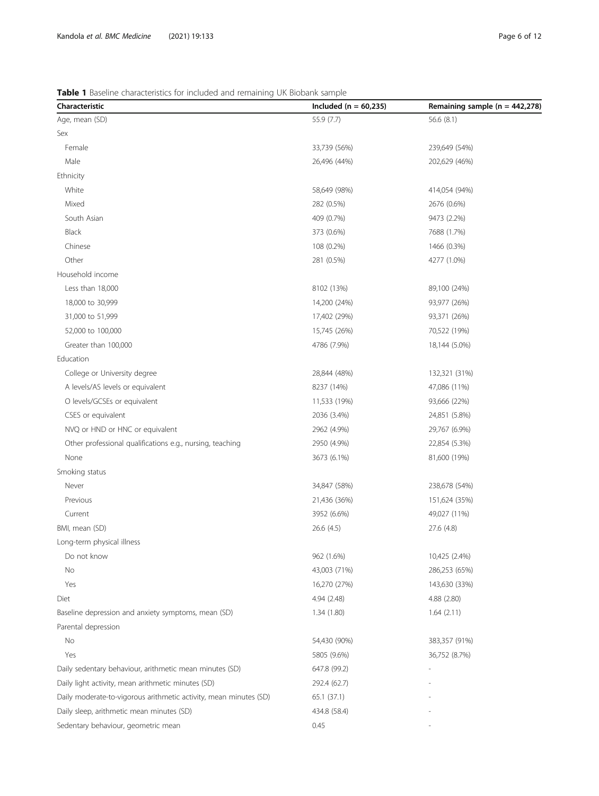# <span id="page-5-0"></span>Table 1 Baseline characteristics for included and remaining UK Biobank sample

| Characteristic                                                    | Included ( $n = 60,235$ ) | Remaining sample ( $n = 442,278$ ) |
|-------------------------------------------------------------------|---------------------------|------------------------------------|
| Age, mean (SD)                                                    | 55.9 (7.7)                | 56.6 $(8.1)$                       |
| Sex                                                               |                           |                                    |
| Female                                                            | 33,739 (56%)              | 239,649 (54%)                      |
| Male                                                              | 26,496 (44%)              | 202,629 (46%)                      |
| Ethnicity                                                         |                           |                                    |
| White                                                             | 58,649 (98%)              | 414,054 (94%)                      |
| Mixed                                                             | 282 (0.5%)                | 2676 (0.6%)                        |
| South Asian                                                       | 409 (0.7%)                | 9473 (2.2%)                        |
| Black                                                             | 373 (0.6%)                | 7688 (1.7%)                        |
| Chinese                                                           | 108 (0.2%)                | 1466 (0.3%)                        |
| Other                                                             | 281 (0.5%)                | 4277 (1.0%)                        |
| Household income                                                  |                           |                                    |
| Less than 18,000                                                  | 8102 (13%)                | 89,100 (24%)                       |
| 18,000 to 30,999                                                  | 14,200 (24%)              | 93,977 (26%)                       |
| 31,000 to 51,999                                                  | 17,402 (29%)              | 93,371 (26%)                       |
| 52,000 to 100,000                                                 | 15,745 (26%)              | 70,522 (19%)                       |
| Greater than 100,000                                              | 4786 (7.9%)               | 18,144 (5.0%)                      |
| Education                                                         |                           |                                    |
| College or University degree                                      | 28,844 (48%)              | 132,321 (31%)                      |
| A levels/AS levels or equivalent                                  | 8237 (14%)                | 47,086 (11%)                       |
| O levels/GCSEs or equivalent                                      | 11,533 (19%)              | 93,666 (22%)                       |
| CSES or equivalent                                                | 2036 (3.4%)               | 24,851 (5.8%)                      |
| NVQ or HND or HNC or equivalent                                   | 2962 (4.9%)               | 29,767 (6.9%)                      |
| Other professional qualifications e.g., nursing, teaching         | 2950 (4.9%)               | 22,854 (5.3%)                      |
| None                                                              | 3673 (6.1%)               | 81,600 (19%)                       |
| Smoking status                                                    |                           |                                    |
| Never                                                             | 34,847 (58%)              | 238,678 (54%)                      |
| Previous                                                          | 21,436 (36%)              | 151,624 (35%)                      |
| Current                                                           | 3952 (6.6%)               | 49,027 (11%)                       |
| BMI, mean (SD)                                                    | 26.6 (4.5)                | 27.6 (4.8)                         |
| Long-term physical illness                                        |                           |                                    |
| Do not know                                                       | 962 (1.6%)                | 10,425 (2.4%)                      |
| No                                                                | 43,003 (71%)              | 286,253 (65%)                      |
| Yes                                                               | 16,270 (27%)              | 143,630 (33%)                      |
| Diet                                                              | 4.94 (2.48)               | 4.88 (2.80)                        |
| Baseline depression and anxiety symptoms, mean (SD)               | 1.34(1.80)                | 1.64(2.11)                         |
| Parental depression                                               |                           |                                    |
| No                                                                | 54,430 (90%)              | 383,357 (91%)                      |
| Yes                                                               | 5805 (9.6%)               | 36,752 (8.7%)                      |
| Daily sedentary behaviour, arithmetic mean minutes (SD)           | 647.8 (99.2)              |                                    |
| Daily light activity, mean arithmetic minutes (SD)                | 292.4 (62.7)              |                                    |
| Daily moderate-to-vigorous arithmetic activity, mean minutes (SD) | 65.1 (37.1)               |                                    |
| Daily sleep, arithmetic mean minutes (SD)                         | 434.8 (58.4)              |                                    |
| Sedentary behaviour, geometric mean                               | 0.45                      |                                    |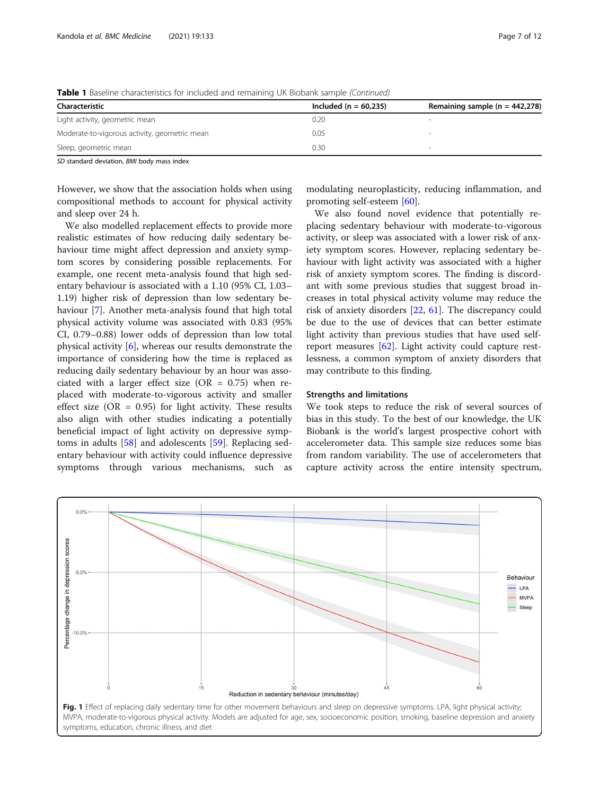| <b>TWARD T</b> Dasching characteristics for inicialized and remaining on biobarm sample (continued) |                           |                                    |  |
|-----------------------------------------------------------------------------------------------------|---------------------------|------------------------------------|--|
| Characteristic                                                                                      | Included ( $n = 60.235$ ) | Remaining sample ( $n = 442,278$ ) |  |
| Light activity, geometric mean                                                                      | 0.20                      |                                    |  |
| Moderate-to-vigorous activity, geometric mean                                                       | 0.05                      |                                    |  |
| Sleep, geometric mean                                                                               | 0.30                      |                                    |  |
|                                                                                                     |                           |                                    |  |

<span id="page-6-0"></span>**Table 1** Baseline characteristics for included and remaining UK Biobank sample (Continued)

SD standard deviation, BMI body mass index

However, we show that the association holds when using compositional methods to account for physical activity and sleep over 24 h.

We also modelled replacement effects to provide more realistic estimates of how reducing daily sedentary behaviour time might affect depression and anxiety symptom scores by considering possible replacements. For example, one recent meta-analysis found that high sedentary behaviour is associated with a 1.10 (95% CI, 1.03– 1.19) higher risk of depression than low sedentary behaviour [\[7](#page-10-0)]. Another meta-analysis found that high total physical activity volume was associated with 0.83 (95% CI, 0.79–0.88) lower odds of depression than low total physical activity [[6\]](#page-10-0), whereas our results demonstrate the importance of considering how the time is replaced as reducing daily sedentary behaviour by an hour was associated with a larger effect size (OR =  $0.75$ ) when replaced with moderate-to-vigorous activity and smaller effect size (OR =  $0.95$ ) for light activity. These results also align with other studies indicating a potentially beneficial impact of light activity on depressive symptoms in adults [\[58\]](#page-11-0) and adolescents [[59](#page-11-0)]. Replacing sedentary behaviour with activity could influence depressive symptoms through various mechanisms, such as modulating neuroplasticity, reducing inflammation, and promoting self-esteem [\[60](#page-11-0)].

We also found novel evidence that potentially replacing sedentary behaviour with moderate-to-vigorous activity, or sleep was associated with a lower risk of anxiety symptom scores. However, replacing sedentary behaviour with light activity was associated with a higher risk of anxiety symptom scores. The finding is discordant with some previous studies that suggest broad increases in total physical activity volume may reduce the risk of anxiety disorders [\[22,](#page-10-0) [61](#page-11-0)]. The discrepancy could be due to the use of devices that can better estimate light activity than previous studies that have used selfreport measures [[62\]](#page-11-0). Light activity could capture restlessness, a common symptom of anxiety disorders that may contribute to this finding.

# Strengths and limitations

We took steps to reduce the risk of several sources of bias in this study. To the best of our knowledge, the UK Biobank is the world's largest prospective cohort with accelerometer data. This sample size reduces some bias from random variability. The use of accelerometers that capture activity across the entire intensity spectrum,

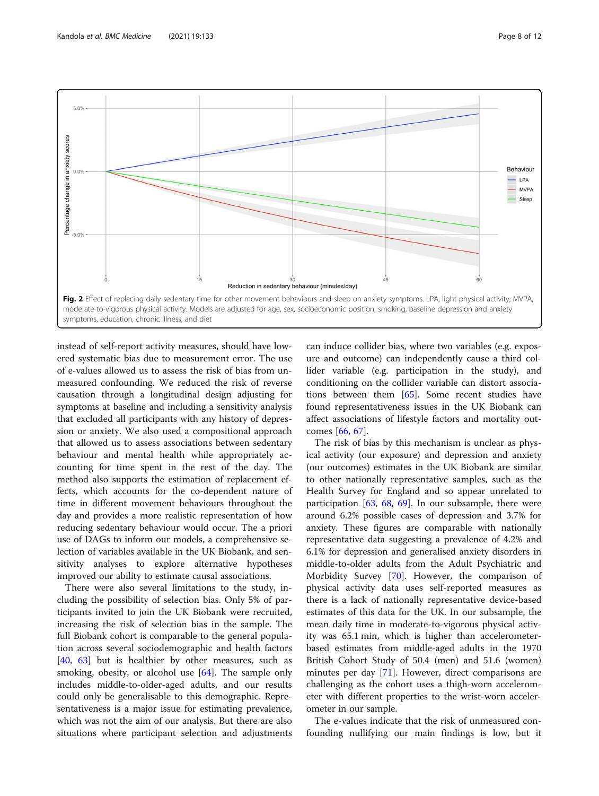<span id="page-7-0"></span>

instead of self-report activity measures, should have lowered systematic bias due to measurement error. The use of e-values allowed us to assess the risk of bias from unmeasured confounding. We reduced the risk of reverse causation through a longitudinal design adjusting for symptoms at baseline and including a sensitivity analysis that excluded all participants with any history of depression or anxiety. We also used a compositional approach that allowed us to assess associations between sedentary behaviour and mental health while appropriately accounting for time spent in the rest of the day. The method also supports the estimation of replacement effects, which accounts for the co-dependent nature of time in different movement behaviours throughout the day and provides a more realistic representation of how reducing sedentary behaviour would occur. The a priori use of DAGs to inform our models, a comprehensive selection of variables available in the UK Biobank, and sensitivity analyses to explore alternative hypotheses improved our ability to estimate causal associations.

There were also several limitations to the study, including the possibility of selection bias. Only 5% of participants invited to join the UK Biobank were recruited, increasing the risk of selection bias in the sample. The full Biobank cohort is comparable to the general population across several sociodemographic and health factors [[40,](#page-11-0) [63](#page-11-0)] but is healthier by other measures, such as smoking, obesity, or alcohol use [\[64](#page-11-0)]. The sample only includes middle-to-older-aged adults, and our results could only be generalisable to this demographic. Representativeness is a major issue for estimating prevalence, which was not the aim of our analysis. But there are also situations where participant selection and adjustments

can induce collider bias, where two variables (e.g. exposure and outcome) can independently cause a third collider variable (e.g. participation in the study), and conditioning on the collider variable can distort associations between them [\[65](#page-11-0)]. Some recent studies have found representativeness issues in the UK Biobank can affect associations of lifestyle factors and mortality outcomes [[66,](#page-11-0) [67](#page-11-0)].

The risk of bias by this mechanism is unclear as physical activity (our exposure) and depression and anxiety (our outcomes) estimates in the UK Biobank are similar to other nationally representative samples, such as the Health Survey for England and so appear unrelated to participation  $[63, 68, 69]$  $[63, 68, 69]$  $[63, 68, 69]$  $[63, 68, 69]$  $[63, 68, 69]$  $[63, 68, 69]$  $[63, 68, 69]$ . In our subsample, there were around 6.2% possible cases of depression and 3.7% for anxiety. These figures are comparable with nationally representative data suggesting a prevalence of 4.2% and 6.1% for depression and generalised anxiety disorders in middle-to-older adults from the Adult Psychiatric and Morbidity Survey [\[70](#page-11-0)]. However, the comparison of physical activity data uses self-reported measures as there is a lack of nationally representative device-based estimates of this data for the UK. In our subsample, the mean daily time in moderate-to-vigorous physical activity was 65.1 min, which is higher than accelerometerbased estimates from middle-aged adults in the 1970 British Cohort Study of 50.4 (men) and 51.6 (women) minutes per day [[71](#page-11-0)]. However, direct comparisons are challenging as the cohort uses a thigh-worn accelerometer with different properties to the wrist-worn accelerometer in our sample.

The e-values indicate that the risk of unmeasured confounding nullifying our main findings is low, but it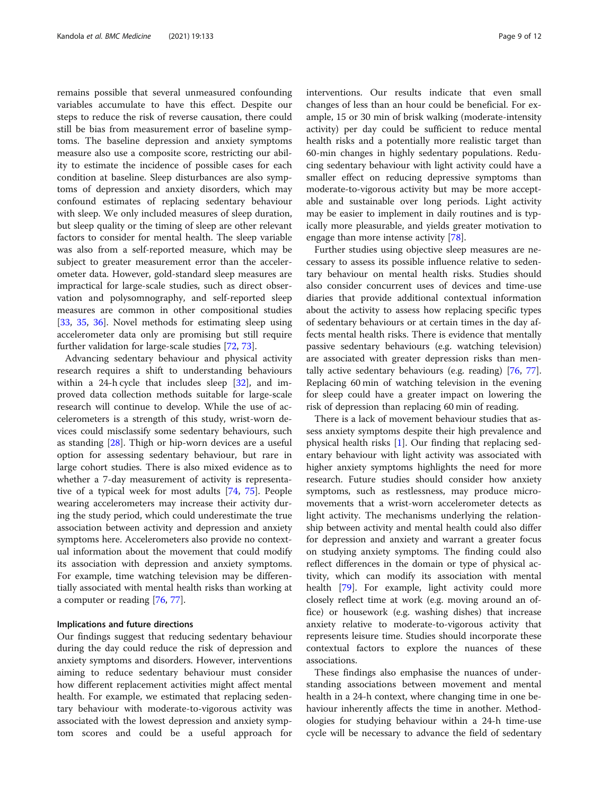remains possible that several unmeasured confounding variables accumulate to have this effect. Despite our steps to reduce the risk of reverse causation, there could still be bias from measurement error of baseline symptoms. The baseline depression and anxiety symptoms measure also use a composite score, restricting our ability to estimate the incidence of possible cases for each condition at baseline. Sleep disturbances are also symptoms of depression and anxiety disorders, which may confound estimates of replacing sedentary behaviour with sleep. We only included measures of sleep duration, but sleep quality or the timing of sleep are other relevant factors to consider for mental health. The sleep variable was also from a self-reported measure, which may be subject to greater measurement error than the accelerometer data. However, gold-standard sleep measures are impractical for large-scale studies, such as direct observation and polysomnography, and self-reported sleep measures are common in other compositional studies [[33,](#page-10-0) [35](#page-10-0), [36\]](#page-10-0). Novel methods for estimating sleep using accelerometer data only are promising but still require further validation for large-scale studies [[72](#page-11-0), [73](#page-11-0)].

Advancing sedentary behaviour and physical activity research requires a shift to understanding behaviours within a 24-h cycle that includes sleep [[32\]](#page-10-0), and improved data collection methods suitable for large-scale research will continue to develop. While the use of accelerometers is a strength of this study, wrist-worn devices could misclassify some sedentary behaviours, such as standing [[28\]](#page-10-0). Thigh or hip-worn devices are a useful option for assessing sedentary behaviour, but rare in large cohort studies. There is also mixed evidence as to whether a 7-day measurement of activity is representative of a typical week for most adults [\[74,](#page-11-0) [75](#page-11-0)]. People wearing accelerometers may increase their activity during the study period, which could underestimate the true association between activity and depression and anxiety symptoms here. Accelerometers also provide no contextual information about the movement that could modify its association with depression and anxiety symptoms. For example, time watching television may be differentially associated with mental health risks than working at a computer or reading [[76](#page-11-0), [77](#page-11-0)].

# Implications and future directions

Our findings suggest that reducing sedentary behaviour during the day could reduce the risk of depression and anxiety symptoms and disorders. However, interventions aiming to reduce sedentary behaviour must consider how different replacement activities might affect mental health. For example, we estimated that replacing sedentary behaviour with moderate-to-vigorous activity was associated with the lowest depression and anxiety symptom scores and could be a useful approach for interventions. Our results indicate that even small changes of less than an hour could be beneficial. For example, 15 or 30 min of brisk walking (moderate-intensity activity) per day could be sufficient to reduce mental health risks and a potentially more realistic target than 60-min changes in highly sedentary populations. Reducing sedentary behaviour with light activity could have a smaller effect on reducing depressive symptoms than moderate-to-vigorous activity but may be more acceptable and sustainable over long periods. Light activity may be easier to implement in daily routines and is typically more pleasurable, and yields greater motivation to engage than more intense activity [[78](#page-11-0)].

Further studies using objective sleep measures are necessary to assess its possible influence relative to sedentary behaviour on mental health risks. Studies should also consider concurrent uses of devices and time-use diaries that provide additional contextual information about the activity to assess how replacing specific types of sedentary behaviours or at certain times in the day affects mental health risks. There is evidence that mentally passive sedentary behaviours (e.g. watching television) are associated with greater depression risks than mentally active sedentary behaviours (e.g. reading) [\[76](#page-11-0), [77](#page-11-0)]. Replacing 60 min of watching television in the evening for sleep could have a greater impact on lowering the risk of depression than replacing 60 min of reading.

There is a lack of movement behaviour studies that assess anxiety symptoms despite their high prevalence and physical health risks [[1\]](#page-9-0). Our finding that replacing sedentary behaviour with light activity was associated with higher anxiety symptoms highlights the need for more research. Future studies should consider how anxiety symptoms, such as restlessness, may produce micromovements that a wrist-worn accelerometer detects as light activity. The mechanisms underlying the relationship between activity and mental health could also differ for depression and anxiety and warrant a greater focus on studying anxiety symptoms. The finding could also reflect differences in the domain or type of physical activity, which can modify its association with mental health [\[79\]](#page-11-0). For example, light activity could more closely reflect time at work (e.g. moving around an office) or housework (e.g. washing dishes) that increase anxiety relative to moderate-to-vigorous activity that represents leisure time. Studies should incorporate these contextual factors to explore the nuances of these associations.

These findings also emphasise the nuances of understanding associations between movement and mental health in a 24-h context, where changing time in one behaviour inherently affects the time in another. Methodologies for studying behaviour within a 24-h time-use cycle will be necessary to advance the field of sedentary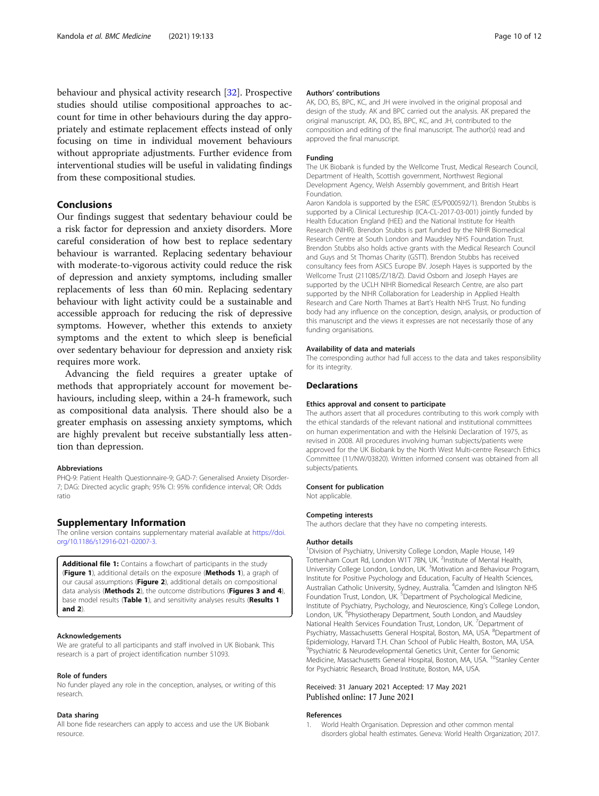<span id="page-9-0"></span>behaviour and physical activity research [[32\]](#page-10-0). Prospective studies should utilise compositional approaches to account for time in other behaviours during the day appropriately and estimate replacement effects instead of only focusing on time in individual movement behaviours without appropriate adjustments. Further evidence from interventional studies will be useful in validating findings from these compositional studies.

# Conclusions

Our findings suggest that sedentary behaviour could be a risk factor for depression and anxiety disorders. More careful consideration of how best to replace sedentary behaviour is warranted. Replacing sedentary behaviour with moderate-to-vigorous activity could reduce the risk of depression and anxiety symptoms, including smaller replacements of less than 60 min. Replacing sedentary behaviour with light activity could be a sustainable and accessible approach for reducing the risk of depressive symptoms. However, whether this extends to anxiety symptoms and the extent to which sleep is beneficial over sedentary behaviour for depression and anxiety risk requires more work.

Advancing the field requires a greater uptake of methods that appropriately account for movement behaviours, including sleep, within a 24-h framework, such as compositional data analysis. There should also be a greater emphasis on assessing anxiety symptoms, which are highly prevalent but receive substantially less attention than depression.

#### Abbreviations

PHQ-9: Patient Health Questionnaire-9; GAD-7: Generalised Anxiety Disorder-7; DAG: Directed acyclic graph; 95% CI: 95% confidence interval; OR: Odds ratio

# Supplementary Information

The online version contains supplementary material available at [https://doi.](https://doi.org/10.1186/s12916-021-02007-3) [org/10.1186/s12916-021-02007-3.](https://doi.org/10.1186/s12916-021-02007-3)

Additional file 1: Contains a flowchart of participants in the study (Figure 1), additional details on the exposure (Methods 1), a graph of our causal assumptions (Figure 2), additional details on compositional data analysis (Methods 2), the outcome distributions (Figures 3 and 4), base model results (Table 1), and sensitivity analyses results (Results 1 and 2).

#### Acknowledgements

We are grateful to all participants and staff involved in UK Biobank. This research is a part of project identification number 51093.

#### Role of funders

No funder played any role in the conception, analyses, or writing of this research.

#### Data sharing

All bone fide researchers can apply to access and use the UK Biobank resource.

# Authors' contributions

AK, DO, BS, BPC, KC, and JH were involved in the original proposal and design of the study. AK and BPC carried out the analysis. AK prepared the original manuscript. AK, DO, BS, BPC, KC, and JH, contributed to the composition and editing of the final manuscript. The author(s) read and approved the final manuscript.

#### Funding

The UK Biobank is funded by the Wellcome Trust, Medical Research Council, Department of Health, Scottish government, Northwest Regional Development Agency, Welsh Assembly government, and British Heart Foundation.

Aaron Kandola is supported by the ESRC (ES/P000592/1). Brendon Stubbs is supported by a Clinical Lectureship (ICA-CL-2017-03-001) jointly funded by Health Education England (HEE) and the National Institute for Health Research (NIHR). Brendon Stubbs is part funded by the NIHR Biomedical Research Centre at South London and Maudsley NHS Foundation Trust. Brendon Stubbs also holds active grants with the Medical Research Council and Guys and St Thomas Charity (GSTT). Brendon Stubbs has received consultancy fees from ASICS Europe BV. Joseph Hayes is supported by the Wellcome Trust (211085/Z/18/Z). David Osborn and Joseph Hayes are supported by the UCLH NIHR Biomedical Research Centre, are also part supported by the NIHR Collaboration for Leadership in Applied Health Research and Care North Thames at Bart's Health NHS Trust. No funding body had any influence on the conception, design, analysis, or production of this manuscript and the views it expresses are not necessarily those of any funding organisations.

#### Availability of data and materials

The corresponding author had full access to the data and takes responsibility for its integrity.

# **Declarations**

# Ethics approval and consent to participate

The authors assert that all procedures contributing to this work comply with the ethical standards of the relevant national and institutional committees on human experimentation and with the Helsinki Declaration of 1975, as revised in 2008. All procedures involving human subjects/patients were approved for the UK Biobank by the North West Multi-centre Research Ethics Committee (11/NW/03820). Written informed consent was obtained from all subjects/patients.

#### Consent for publication

Not applicable.

#### Competing interests

The authors declare that they have no competing interests.

#### Author details

<sup>1</sup> Division of Psychiatry, University College London, Maple House, 149 Tottenham Court Rd, London W1T 7BN, UK. <sup>2</sup>Institute of Mental Health University College London, London, UK. <sup>3</sup>Motivation and Behaviour Program Institute for Positive Psychology and Education, Faculty of Health Sciences, Australian Catholic University, Sydney, Australia. <sup>4</sup>Camden and Islington NHS Foundation Trust, London, UK. <sup>5</sup>Department of Psychological Medicine, Institute of Psychiatry, Psychology, and Neuroscience, King's College London, London, UK. <sup>6</sup>Physiotherapy Department, South London, and Maudsley National Health Services Foundation Trust, London, UK. <sup>7</sup>Department of Psychiatry, Massachusetts General Hospital, Boston, MA, USA. <sup>8</sup>Department of Epidemiology, Harvard T.H. Chan School of Public Health, Boston, MA, USA. <sup>9</sup>Psychiatric & Neurodevelopmental Genetics Unit, Center for Genomic Medicine, Massachusetts General Hospital, Boston, MA, USA. <sup>10</sup>Stanley Center for Psychiatric Research, Broad Institute, Boston, MA, USA.

# Received: 31 January 2021 Accepted: 17 May 2021 Published online: 17 June 2021

#### References

1. World Health Organisation. Depression and other common mental disorders global health estimates. Geneva: World Health Organization; 2017.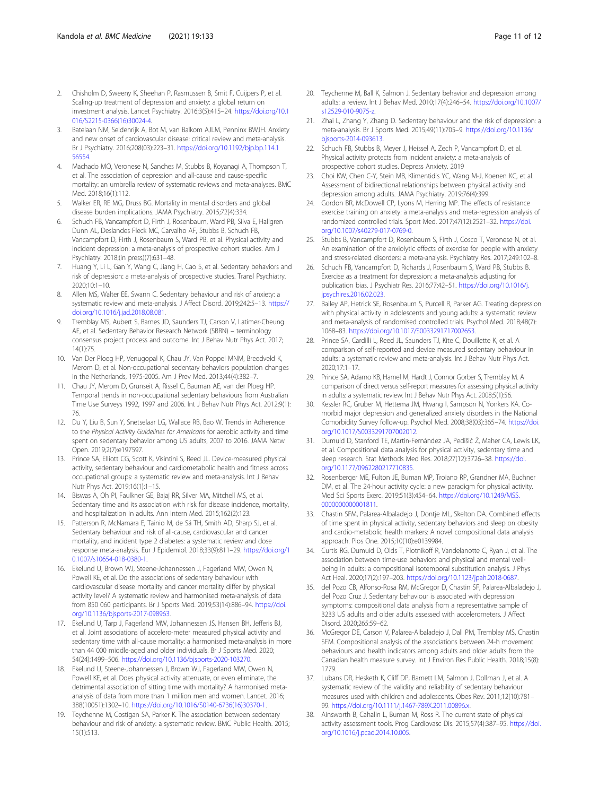- <span id="page-10-0"></span>2. Chisholm D, Sweeny K, Sheehan P, Rasmussen B, Smit F, Cuijpers P, et al. Scaling-up treatment of depression and anxiety: a global return on investment analysis. Lancet Psychiatry. 2016;3(5):415–24. [https://doi.org/10.1](https://doi.org/10.1016/S2215-0366(16)30024-4) [016/S2215-0366\(16\)30024-4](https://doi.org/10.1016/S2215-0366(16)30024-4).
- 3. Batelaan NM, Seldenrijk A, Bot M, van Balkom AJLM, Penninx BWJH. Anxiety and new onset of cardiovascular disease: critical review and meta-analysis. Br J Psychiatry. 2016;208(03):223–31. [https://doi.org/10.1192/bjp.bp.114.1](https://doi.org/10.1192/bjp.bp.114.156554) [56554.](https://doi.org/10.1192/bjp.bp.114.156554)
- Machado MO, Veronese N, Sanches M, Stubbs B, Koyanagi A, Thompson T, et al. The association of depression and all-cause and cause-specific mortality: an umbrella review of systematic reviews and meta-analyses. BMC Med. 2018;16(1):112.
- 5. Walker ER, RE MG, Druss BG. Mortality in mental disorders and global disease burden implications. JAMA Psychiatry. 2015;72(4):334.
- 6. Schuch FB, Vancampfort D, Firth J, Rosenbaum, Ward PB, Silva E, Hallgren Dunn AL, Deslandes Fleck MC, Carvalho AF, Stubbs B, Schuch FB, Vancampfort D, Firth J, Rosenbaum S, Ward PB, et al. Physical activity and incident depression: a meta-analysis of prospective cohort studies. Am J Psychiatry. 2018;(in press)(7):631–48.
- 7. Huang Y, Li L, Gan Y, Wang C, Jiang H, Cao S, et al. Sedentary behaviors and risk of depression: a meta-analysis of prospective studies. Transl Psychiatry. 2020;10:1–10.
- Allen MS, Walter EE, Swann C. Sedentary behaviour and risk of anxiety: a systematic review and meta-analysis. J Affect Disord. 2019;242:5–13. [https://](https://doi.org/10.1016/j.jad.2018.08.081) [doi.org/10.1016/j.jad.2018.08.081.](https://doi.org/10.1016/j.jad.2018.08.081)
- 9. Tremblay MS, Aubert S, Barnes JD, Saunders TJ, Carson V, Latimer-Cheung AE, et al. Sedentary Behavior Research Network (SBRN) – terminology consensus project process and outcome. Int J Behav Nutr Phys Act. 2017; 14(1):75.
- 10. Van Der Ploeg HP, Venugopal K, Chau JY, Van Poppel MNM, Breedveld K, Merom D, et al. Non-occupational sedentary behaviors population changes in the Netherlands, 1975-2005. Am J Prev Med. 2013;44(4):382–7.
- 11. Chau JY, Merom D, Grunseit A, Rissel C, Bauman AE, van der Ploeg HP. Temporal trends in non-occupational sedentary behaviours from Australian Time Use Surveys 1992, 1997 and 2006. Int J Behav Nutr Phys Act. 2012;9(1): 76.
- 12. Du Y, Liu B, Sun Y, Snetselaar LG, Wallace RB, Bao W. Trends in Adherence to the Physical Activity Guidelines for Americans for aerobic activity and time spent on sedentary behavior among US adults, 2007 to 2016. JAMA Netw Open. 2019;2(7):e197597.
- 13. Prince SA, Elliott CG, Scott K, Visintini S, Reed JL. Device-measured physical activity, sedentary behaviour and cardiometabolic health and fitness across occupational groups: a systematic review and meta-analysis. Int J Behav Nutr Phys Act. 2019;16(1):1–15.
- 14. Biswas A, Oh PI, Faulkner GE, Bajaj RR, Silver MA, Mitchell MS, et al. Sedentary time and its association with risk for disease incidence, mortality, and hospitalization in adults. Ann Intern Med. 2015;162(2):123.
- 15. Patterson R, McNamara E, Tainio M, de Sá TH, Smith AD, Sharp SJ, et al. Sedentary behaviour and risk of all-cause, cardiovascular and cancer mortality, and incident type 2 diabetes: a systematic review and dose response meta-analysis. Eur J Epidemiol. 2018;33(9):811–29. [https://doi.org/1](https://doi.org/10.1007/s10654-018-0380-1) [0.1007/s10654-018-0380-1.](https://doi.org/10.1007/s10654-018-0380-1)
- 16. Ekelund U, Brown WJ, Steene-Johannessen J, Fagerland MW, Owen N, Powell KE, et al. Do the associations of sedentary behaviour with cardiovascular disease mortality and cancer mortality differ by physical activity level? A systematic review and harmonised meta-analysis of data from 850 060 participants. Br J Sports Med. 2019;53(14):886–94. [https://doi.](https://doi.org/10.1136/bjsports-2017-098963) [org/10.1136/bjsports-2017-098963.](https://doi.org/10.1136/bjsports-2017-098963)
- 17. Ekelund U, Tarp J, Fagerland MW, Johannessen JS, Hansen BH, Jefferis BJ, et al. Joint associations of accelero-meter measured physical activity and sedentary time with all-cause mortality: a harmonised meta-analysis in more than 44 000 middle-aged and older individuals. Br J Sports Med. 2020; 54(24):1499–506. [https://doi.org/10.1136/bjsports-2020-103270.](https://doi.org/10.1136/bjsports-2020-103270)
- 18. Ekelund U, Steene-Johannessen J, Brown WJ, Fagerland MW, Owen N, Powell KE, et al. Does physical activity attenuate, or even eliminate, the detrimental association of sitting time with mortality? A harmonised metaanalysis of data from more than 1 million men and women. Lancet. 2016; 388(10051):1302–10. [https://doi.org/10.1016/S0140-6736\(16\)30370-1](https://doi.org/10.1016/S0140-6736(16)30370-1).
- 19. Teychenne M, Costigan SA, Parker K. The association between sedentary behaviour and risk of anxiety: a systematic review. BMC Public Health. 2015; 15(1):513.
- 20. Teychenne M, Ball K, Salmon J. Sedentary behavior and depression among adults: a review. Int J Behav Med. 2010;17(4):246–54. [https://doi.org/10.1007/](https://doi.org/10.1007/s12529-010-9075-z) [s12529-010-9075-z](https://doi.org/10.1007/s12529-010-9075-z).
- 21. Zhai L, Zhang Y, Zhang D. Sedentary behaviour and the risk of depression: a meta-analysis. Br J Sports Med. 2015;49(11):705–9. [https://doi.org/10.1136/](https://doi.org/10.1136/bjsports-2014-093613) [bjsports-2014-093613](https://doi.org/10.1136/bjsports-2014-093613).
- 22. Schuch FB, Stubbs B, Meyer J, Heissel A, Zech P, Vancampfort D, et al. Physical activity protects from incident anxiety: a meta-analysis of prospective cohort studies. Depress Anxiety. 2019
- 23. Choi KW, Chen C-Y, Stein MB, Klimentidis YC, Wang M-J, Koenen KC, et al. Assessment of bidirectional relationships between physical activity and depression among adults. JAMA Psychiatry. 2019;76(4):399.
- 24. Gordon BR, McDowell CP, Lyons M, Herring MP. The effects of resistance exercise training on anxiety: a meta-analysis and meta-regression analysis of randomized controlled trials. Sport Med. 2017;47(12):2521–32. [https://doi.](https://doi.org/10.1007/s40279-017-0769-0) [org/10.1007/s40279-017-0769-0](https://doi.org/10.1007/s40279-017-0769-0).
- 25. Stubbs B, Vancampfort D, Rosenbaum S, Firth J, Cosco T, Veronese N, et al. An examination of the anxiolytic effects of exercise for people with anxiety and stress-related disorders: a meta-analysis. Psychiatry Res. 2017;249:102–8.
- 26. Schuch FB, Vancampfort D, Richards J, Rosenbaum S, Ward PB, Stubbs B. Exercise as a treatment for depression: a meta-analysis adjusting for publication bias. J Psychiatr Res. 2016;77:42–51. [https://doi.org/10.1016/j.](https://doi.org/10.1016/j.jpsychires.2016.02.023) [jpsychires.2016.02.023.](https://doi.org/10.1016/j.jpsychires.2016.02.023)
- 27. Bailey AP, Hetrick SE, Rosenbaum S, Purcell R, Parker AG. Treating depression with physical activity in adolescents and young adults: a systematic review and meta-analysis of randomised controlled trials. Psychol Med. 2018;48(7): 1068–83. <https://doi.org/10.1017/S0033291717002653>.
- 28. Prince SA, Cardilli L, Reed JL, Saunders TJ, Kite C, Douillette K, et al. A comparison of self-reported and device measured sedentary behaviour in adults: a systematic review and meta-analysis. Int J Behav Nutr Phys Act. 2020;17:1–17.
- 29. Prince SA, Adamo KB, Hamel M, Hardt J, Connor Gorber S, Tremblay M. A comparison of direct versus self-report measures for assessing physical activity in adults: a systematic review. Int J Behav Nutr Phys Act. 2008;5(1):56.
- 30. Kessler RC, Gruber M, Hettema JM, Hwang I, Sampson N, Yonkers KA. Comorbid major depression and generalized anxiety disorders in the National Comorbidity Survey follow-up. Psychol Med. 2008;38(03):365–74. [https://doi.](https://doi.org/10.1017/S0033291707002012) [org/10.1017/S0033291707002012.](https://doi.org/10.1017/S0033291707002012)
- 31. Dumuid D, Stanford TE, Martin-Fernández JA, Pedišić Ž, Maher CA, Lewis LK, et al. Compositional data analysis for physical activity, sedentary time and sleep research. Stat Methods Med Res. 2018;27(12):3726–38. [https://doi.](https://doi.org/10.1177/0962280217710835) [org/10.1177/0962280217710835.](https://doi.org/10.1177/0962280217710835)
- 32. Rosenberger ME, Fulton JE, Buman MP, Troiano RP, Grandner MA, Buchner DM, et al. The 24-hour activity cycle: a new paradigm for physical activity. Med Sci Sports Exerc. 2019;51(3):454–64. [https://doi.org/10.1249/MSS.](https://doi.org/10.1249/MSS.0000000000001811) [0000000000001811](https://doi.org/10.1249/MSS.0000000000001811).
- 33. Chastin SFM, Palarea-Albaladejo J, Dontje ML, Skelton DA. Combined effects of time spent in physical activity, sedentary behaviors and sleep on obesity and cardio-metabolic health markers: A novel compositional data analysis approach. Plos One. 2015;10(10):e0139984.
- 34. Curtis RG, Dumuid D, Olds T, Plotnikoff R, Vandelanotte C, Ryan J, et al. The association between time-use behaviors and physical and mental wellbeing in adults: a compositional isotemporal substitution analysis. J Phys Act Heal. 2020;17(2):197–203. [https://doi.org/10.1123/jpah.2018-0687.](https://doi.org/10.1123/jpah.2018-0687)
- 35. del Pozo CB, Alfonso-Rosa RM, McGregor D, Chastin SF, Palarea-Albaladejo J, del Pozo Cruz J. Sedentary behaviour is associated with depression symptoms: compositional data analysis from a representative sample of 3233 US adults and older adults assessed with accelerometers. J Affect Disord. 2020;265:59–62.
- 36. McGregor DE, Carson V, Palarea-Albaladejo J, Dall PM, Tremblay MS, Chastin SFM. Compositional analysis of the associations between 24-h movement behaviours and health indicators among adults and older adults from the Canadian health measure survey. Int J Environ Res Public Health. 2018;15(8): 1779.
- 37. Lubans DR, Hesketh K, Cliff DP, Barnett LM, Salmon J, Dollman J, et al. A systematic review of the validity and reliability of sedentary behaviour measures used with children and adolescents. Obes Rev. 2011;12(10):781– 99. [https://doi.org/10.1111/j.1467-789X.2011.00896.x.](https://doi.org/10.1111/j.1467-789X.2011.00896.x)
- 38. Ainsworth B, Cahalin L, Buman M, Ross R. The current state of physical activity assessment tools. Prog Cardiovasc Dis. 2015;57(4):387–95. [https://doi.](https://doi.org/10.1016/j.pcad.2014.10.005) [org/10.1016/j.pcad.2014.10.005.](https://doi.org/10.1016/j.pcad.2014.10.005)